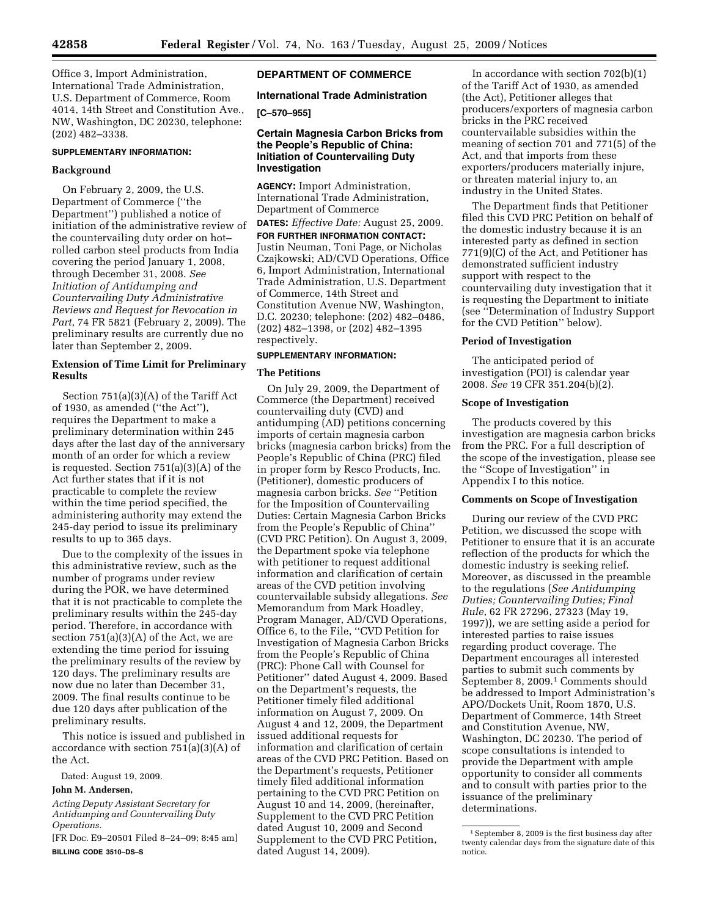Office 3, Import Administration, International Trade Administration, U.S. Department of Commerce, Room 4014, 14th Street and Constitution Ave., NW, Washington, DC 20230, telephone: (202) 482–3338.

# **SUPPLEMENTARY INFORMATION:**

# **Background**

On February 2, 2009, the U.S. Department of Commerce (''the Department'') published a notice of initiation of the administrative review of the countervailing duty order on hot– rolled carbon steel products from India covering the period January 1, 2008, through December 31, 2008. *See Initiation of Antidumping and Countervailing Duty Administrative Reviews and Request for Revocation in Part*, 74 FR 5821 (February 2, 2009). The preliminary results are currently due no later than September 2, 2009.

# **Extension of Time Limit for Preliminary Results**

Section 751(a)(3)(A) of the Tariff Act of 1930, as amended (''the Act''), requires the Department to make a preliminary determination within 245 days after the last day of the anniversary month of an order for which a review is requested. Section 751(a)(3)(A) of the Act further states that if it is not practicable to complete the review within the time period specified, the administering authority may extend the 245-day period to issue its preliminary results to up to 365 days.

Due to the complexity of the issues in this administrative review, such as the number of programs under review during the POR, we have determined that it is not practicable to complete the preliminary results within the 245-day period. Therefore, in accordance with section  $751(a)(3)(A)$  of the Act, we are extending the time period for issuing the preliminary results of the review by 120 days. The preliminary results are now due no later than December 31, 2009. The final results continue to be due 120 days after publication of the preliminary results.

This notice is issued and published in accordance with section 751(a)(3)(A) of the Act.

Dated: August 19, 2009.

## **John M. Andersen,**

*Acting Deputy Assistant Secretary for Antidumping and Countervailing Duty Operations.* 

[FR Doc. E9–20501 Filed 8–24–09; 8:45 am] **BILLING CODE 3510–DS–S** 

# **DEPARTMENT OF COMMERCE**

# **International Trade Administration**

**[C–570–955]** 

# **Certain Magnesia Carbon Bricks from the People's Republic of China: Initiation of Countervailing Duty Investigation**

**AGENCY:** Import Administration, International Trade Administration, Department of Commerce

**DATES:** *Effective Date:* August 25, 2009. **FOR FURTHER INFORMATION CONTACT:**  Justin Neuman, Toni Page, or Nicholas Czajkowski; AD/CVD Operations, Office 6, Import Administration, International Trade Administration, U.S. Department of Commerce, 14th Street and Constitution Avenue NW, Washington, D.C. 20230; telephone: (202) 482–0486, (202) 482–1398, or (202) 482–1395 respectively.

# **SUPPLEMENTARY INFORMATION:**

### **The Petitions**

On July 29, 2009, the Department of Commerce (the Department) received countervailing duty (CVD) and antidumping (AD) petitions concerning imports of certain magnesia carbon bricks (magnesia carbon bricks) from the People's Republic of China (PRC) filed in proper form by Resco Products, Inc. (Petitioner), domestic producers of magnesia carbon bricks. *See* ''Petition for the Imposition of Countervailing Duties: Certain Magnesia Carbon Bricks from the People's Republic of China'' (CVD PRC Petition). On August 3, 2009, the Department spoke via telephone with petitioner to request additional information and clarification of certain areas of the CVD petition involving countervailable subsidy allegations. *See*  Memorandum from Mark Hoadley, Program Manager, AD/CVD Operations, Office 6, to the File, ''CVD Petition for Investigation of Magnesia Carbon Bricks from the People's Republic of China (PRC): Phone Call with Counsel for Petitioner'' dated August 4, 2009. Based on the Department's requests, the Petitioner timely filed additional information on August 7, 2009. On August 4 and 12, 2009, the Department issued additional requests for information and clarification of certain areas of the CVD PRC Petition. Based on the Department's requests, Petitioner timely filed additional information pertaining to the CVD PRC Petition on August 10 and 14, 2009, (hereinafter, Supplement to the CVD PRC Petition dated August 10, 2009 and Second Supplement to the CVD PRC Petition, dated August 14, 2009).

In accordance with section  $702(b)(1)$ of the Tariff Act of 1930, as amended (the Act), Petitioner alleges that producers/exporters of magnesia carbon bricks in the PRC received countervailable subsidies within the meaning of section 701 and 771(5) of the Act, and that imports from these exporters/producers materially injure, or threaten material injury to, an industry in the United States.

The Department finds that Petitioner filed this CVD PRC Petition on behalf of the domestic industry because it is an interested party as defined in section 771(9)(C) of the Act, and Petitioner has demonstrated sufficient industry support with respect to the countervailing duty investigation that it is requesting the Department to initiate (see ''Determination of Industry Support for the CVD Petition'' below).

# **Period of Investigation**

The anticipated period of investigation (POI) is calendar year 2008. *See* 19 CFR 351.204(b)(2).

## **Scope of Investigation**

The products covered by this investigation are magnesia carbon bricks from the PRC. For a full description of the scope of the investigation, please see the ''Scope of Investigation'' in Appendix I to this notice.

#### **Comments on Scope of Investigation**

During our review of the CVD PRC Petition, we discussed the scope with Petitioner to ensure that it is an accurate reflection of the products for which the domestic industry is seeking relief. Moreover, as discussed in the preamble to the regulations (*See Antidumping Duties; Countervailing Duties; Final Rule*, 62 FR 27296, 27323 (May 19, 1997)), we are setting aside a period for interested parties to raise issues regarding product coverage. The Department encourages all interested parties to submit such comments by September 8, 2009.<sup>1</sup> Comments should be addressed to Import Administration's APO/Dockets Unit, Room 1870, U.S. Department of Commerce, 14th Street and Constitution Avenue, NW, Washington, DC 20230. The period of scope consultations is intended to provide the Department with ample opportunity to consider all comments and to consult with parties prior to the issuance of the preliminary determinations.

<sup>1</sup>September 8, 2009 is the first business day after twenty calendar days from the signature date of this notice.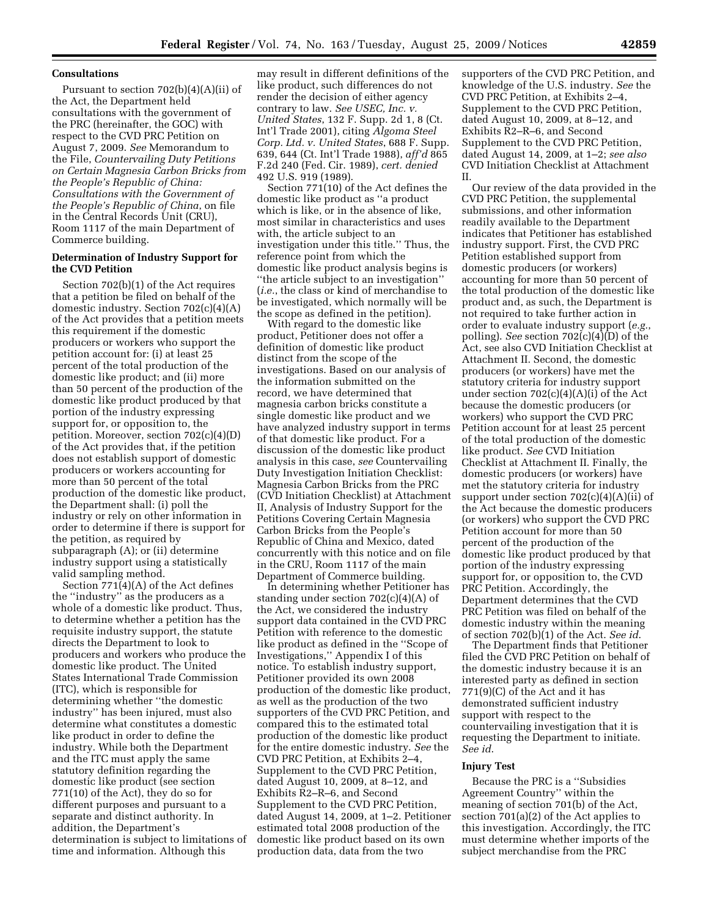## **Consultations**

Pursuant to section 702(b)(4)(A)(ii) of the Act, the Department held consultations with the government of the PRC (hereinafter, the GOC) with respect to the CVD PRC Petition on August 7, 2009. *See* Memorandum to the File, *Countervailing Duty Petitions on Certain Magnesia Carbon Bricks from the People's Republic of China: Consultations with the Government of the People's Republic of China*, on file in the Central Records Unit (CRU), Room 1117 of the main Department of Commerce building.

# **Determination of Industry Support for the CVD Petition**

Section 702(b)(1) of the Act requires that a petition be filed on behalf of the domestic industry. Section 702(c)(4)(A) of the Act provides that a petition meets this requirement if the domestic producers or workers who support the petition account for: (i) at least 25 percent of the total production of the domestic like product; and (ii) more than 50 percent of the production of the domestic like product produced by that portion of the industry expressing support for, or opposition to, the petition. Moreover, section 702(c)(4)(D) of the Act provides that, if the petition does not establish support of domestic producers or workers accounting for more than 50 percent of the total production of the domestic like product, the Department shall: (i) poll the industry or rely on other information in order to determine if there is support for the petition, as required by subparagraph (A); or (ii) determine industry support using a statistically valid sampling method.

Section 771(4)(A) of the Act defines the ''industry'' as the producers as a whole of a domestic like product. Thus, to determine whether a petition has the requisite industry support, the statute directs the Department to look to producers and workers who produce the domestic like product. The United States International Trade Commission (ITC), which is responsible for determining whether ''the domestic industry'' has been injured, must also determine what constitutes a domestic like product in order to define the industry. While both the Department and the ITC must apply the same statutory definition regarding the domestic like product (see section 771(10) of the Act), they do so for different purposes and pursuant to a separate and distinct authority. In addition, the Department's determination is subject to limitations of time and information. Although this

may result in different definitions of the like product, such differences do not render the decision of either agency contrary to law. *See USEC, Inc. v. United States*, 132 F. Supp. 2d 1, 8 (Ct. Int'l Trade 2001), citing *Algoma Steel Corp. Ltd. v. United States*, 688 F. Supp. 639, 644 (Ct. Int'l Trade 1988), *aff'd* 865 F.2d 240 (Fed. Cir. 1989), *cert. denied*  492 U.S. 919 (1989).

Section 771(10) of the Act defines the domestic like product as ''a product which is like, or in the absence of like, most similar in characteristics and uses with, the article subject to an investigation under this title.'' Thus, the reference point from which the domestic like product analysis begins is ''the article subject to an investigation'' (*i.e.*, the class or kind of merchandise to be investigated, which normally will be the scope as defined in the petition).

With regard to the domestic like product, Petitioner does not offer a definition of domestic like product distinct from the scope of the investigations. Based on our analysis of the information submitted on the record, we have determined that magnesia carbon bricks constitute a single domestic like product and we have analyzed industry support in terms of that domestic like product. For a discussion of the domestic like product analysis in this case, *see* Countervailing Duty Investigation Initiation Checklist: Magnesia Carbon Bricks from the PRC (CVD Initiation Checklist) at Attachment II, Analysis of Industry Support for the Petitions Covering Certain Magnesia Carbon Bricks from the People's Republic of China and Mexico, dated concurrently with this notice and on file in the CRU, Room 1117 of the main Department of Commerce building.

In determining whether Petitioner has standing under section 702(c)(4)(A) of the Act, we considered the industry support data contained in the CVD PRC Petition with reference to the domestic like product as defined in the ''Scope of Investigations,'' Appendix I of this notice. To establish industry support, Petitioner provided its own 2008 production of the domestic like product, as well as the production of the two supporters of the CVD PRC Petition, and compared this to the estimated total production of the domestic like product for the entire domestic industry. *See* the CVD PRC Petition, at Exhibits 2–4, Supplement to the CVD PRC Petition, dated August 10, 2009, at 8–12, and Exhibits R2–R–6, and Second Supplement to the CVD PRC Petition, dated August 14, 2009, at 1–2. Petitioner estimated total 2008 production of the domestic like product based on its own production data, data from the two

supporters of the CVD PRC Petition, and knowledge of the U.S. industry. *See* the CVD PRC Petition, at Exhibits 2–4, Supplement to the CVD PRC Petition, dated August 10, 2009, at 8–12, and Exhibits R2–R–6, and Second Supplement to the CVD PRC Petition, dated August 14, 2009, at 1–2; *see also*  CVD Initiation Checklist at Attachment II.

Our review of the data provided in the CVD PRC Petition, the supplemental submissions, and other information readily available to the Department indicates that Petitioner has established industry support. First, the CVD PRC Petition established support from domestic producers (or workers) accounting for more than 50 percent of the total production of the domestic like product and, as such, the Department is not required to take further action in order to evaluate industry support (*e.g.*, polling). *See* section 702(c)(4)(D) of the Act, see also CVD Initiation Checklist at Attachment II. Second, the domestic producers (or workers) have met the statutory criteria for industry support under section  $702(c)(4)(A)(i)$  of the Act because the domestic producers (or workers) who support the CVD PRC Petition account for at least 25 percent of the total production of the domestic like product. *See* CVD Initiation Checklist at Attachment II. Finally, the domestic producers (or workers) have met the statutory criteria for industry support under section  $702(c)(4)(A)(ii)$  of the Act because the domestic producers (or workers) who support the CVD PRC Petition account for more than 50 percent of the production of the domestic like product produced by that portion of the industry expressing support for, or opposition to, the CVD PRC Petition. Accordingly, the Department determines that the CVD PRC Petition was filed on behalf of the domestic industry within the meaning of section 702(b)(1) of the Act. *See id*.

The Department finds that Petitioner filed the CVD PRC Petition on behalf of the domestic industry because it is an interested party as defined in section 771(9)(C) of the Act and it has demonstrated sufficient industry support with respect to the countervailing investigation that it is requesting the Department to initiate. *See id*.

#### **Injury Test**

Because the PRC is a ''Subsidies Agreement Country'' within the meaning of section 701(b) of the Act, section 701(a)(2) of the Act applies to this investigation. Accordingly, the ITC must determine whether imports of the subject merchandise from the PRC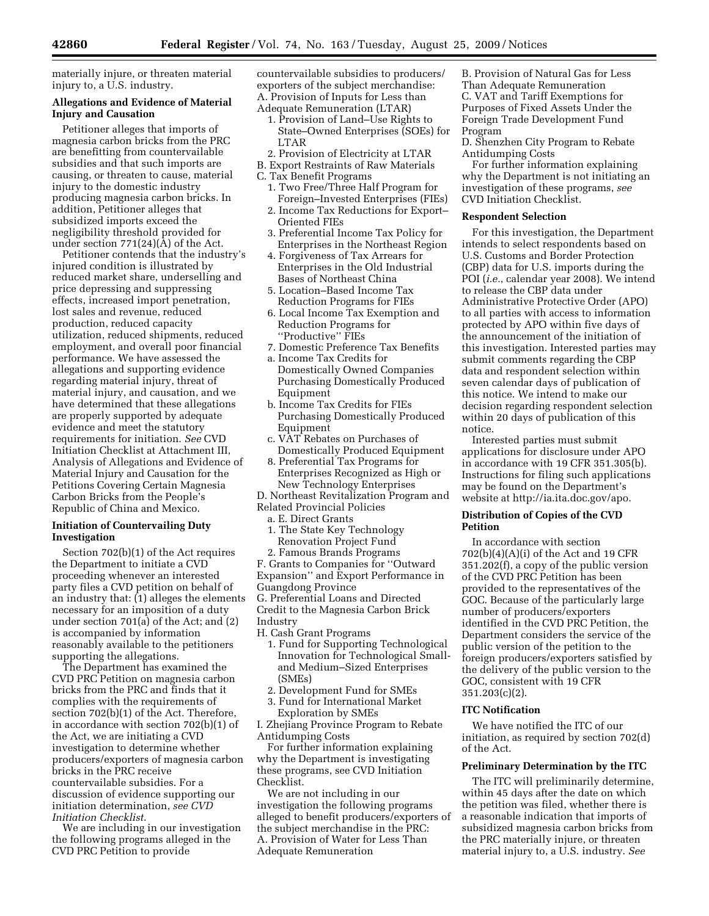materially injure, or threaten material injury to, a U.S. industry.

# **Allegations and Evidence of Material Injury and Causation**

Petitioner alleges that imports of magnesia carbon bricks from the PRC are benefitting from countervailable subsidies and that such imports are causing, or threaten to cause, material injury to the domestic industry producing magnesia carbon bricks. In addition, Petitioner alleges that subsidized imports exceed the negligibility threshold provided for under section 771(24)(A) of the Act.

Petitioner contends that the industry's injured condition is illustrated by reduced market share, underselling and price depressing and suppressing effects, increased import penetration, lost sales and revenue, reduced production, reduced capacity utilization, reduced shipments, reduced employment, and overall poor financial performance. We have assessed the allegations and supporting evidence regarding material injury, threat of material injury, and causation, and we have determined that these allegations are properly supported by adequate evidence and meet the statutory requirements for initiation. *See* CVD Initiation Checklist at Attachment III, Analysis of Allegations and Evidence of Material Injury and Causation for the Petitions Covering Certain Magnesia Carbon Bricks from the People's Republic of China and Mexico.

# **Initiation of Countervailing Duty Investigation**

Section 702(b)(1) of the Act requires the Department to initiate a CVD proceeding whenever an interested party files a CVD petition on behalf of an industry that: (1) alleges the elements necessary for an imposition of a duty under section 701(a) of the Act; and (2) is accompanied by information reasonably available to the petitioners supporting the allegations.

The Department has examined the CVD PRC Petition on magnesia carbon bricks from the PRC and finds that it complies with the requirements of section 702(b)(1) of the Act. Therefore, in accordance with section 702(b)(1) of the Act, we are initiating a CVD investigation to determine whether producers/exporters of magnesia carbon bricks in the PRC receive countervailable subsidies. For a discussion of evidence supporting our initiation determination, *see CVD Initiation Checklist*.

We are including in our investigation the following programs alleged in the CVD PRC Petition to provide

countervailable subsidies to producers/ exporters of the subject merchandise: A. Provision of Inputs for Less than Adequate Remuneration (LTAR)

- 1. Provision of Land–Use Rights to State–Owned Enterprises (SOEs) for LTAR
- 2. Provision of Electricity at LTAR B. Export Restraints of Raw Materials
- C. Tax Benefit Programs
	- 1. Two Free/Three Half Program for Foreign–Invested Enterprises (FIEs)
	- 2. Income Tax Reductions for Export– Oriented FIEs
	- 3. Preferential Income Tax Policy for Enterprises in the Northeast Region
	- 4. Forgiveness of Tax Arrears for Enterprises in the Old Industrial Bases of Northeast China
	- 5. Location–Based Income Tax Reduction Programs for FIEs
	- 6. Local Income Tax Exemption and Reduction Programs for ''Productive'' FIEs
	- 7. Domestic Preference Tax Benefits
	- a. Income Tax Credits for Domestically Owned Companies Purchasing Domestically Produced Equipment
	- b. Income Tax Credits for FIEs Purchasing Domestically Produced Equipment
	- c. VAT Rebates on Purchases of Domestically Produced Equipment
	- 8. Preferential Tax Programs for Enterprises Recognized as High or New Technology Enterprises

D. Northeast Revitalization Program and Related Provincial Policies

- a. E. Direct Grants
- 1. The State Key Technology Renovation Project Fund

2. Famous Brands Programs F. Grants to Companies for ''Outward Expansion'' and Export Performance in Guangdong Province G. Preferential Loans and Directed Credit to the Magnesia Carbon Brick Industry

H. Cash Grant Programs

- 1. Fund for Supporting Technological Innovation for Technological Smalland Medium–Sized Enterprises (SMEs)
- 2. Development Fund for SMEs
- 3. Fund for International Market
- Exploration by SMEs

I. Zhejiang Province Program to Rebate Antidumping Costs

For further information explaining why the Department is investigating these programs, see CVD Initiation Checklist.

We are not including in our investigation the following programs alleged to benefit producers/exporters of the subject merchandise in the PRC: A. Provision of Water for Less Than Adequate Remuneration

B. Provision of Natural Gas for Less Than Adequate Remuneration C. VAT and Tariff Exemptions for Purposes of Fixed Assets Under the Foreign Trade Development Fund Program

D. Shenzhen City Program to Rebate Antidumping Costs

For further information explaining why the Department is not initiating an investigation of these programs, *see*  CVD Initiation Checklist.

# **Respondent Selection**

For this investigation, the Department intends to select respondents based on U.S. Customs and Border Protection (CBP) data for U.S. imports during the POI (*i.e.*, calendar year 2008). We intend to release the CBP data under Administrative Protective Order (APO) to all parties with access to information protected by APO within five days of the announcement of the initiation of this investigation. Interested parties may submit comments regarding the CBP data and respondent selection within seven calendar days of publication of this notice. We intend to make our decision regarding respondent selection within 20 days of publication of this notice.

Interested parties must submit applications for disclosure under APO in accordance with 19 CFR 351.305(b). Instructions for filing such applications may be found on the Department's website at http://ia.ita.doc.gov/apo.

## **Distribution of Copies of the CVD Petition**

In accordance with section 702(b)(4)(A)(i) of the Act and 19 CFR 351.202(f), a copy of the public version of the CVD PRC Petition has been provided to the representatives of the GOC. Because of the particularly large number of producers/exporters identified in the CVD PRC Petition, the Department considers the service of the public version of the petition to the foreign producers/exporters satisfied by the delivery of the public version to the GOC, consistent with 19 CFR 351.203(c)(2).

# **ITC Notification**

We have notified the ITC of our initiation, as required by section 702(d) of the Act.

#### **Preliminary Determination by the ITC**

The ITC will preliminarily determine, within 45 days after the date on which the petition was filed, whether there is a reasonable indication that imports of subsidized magnesia carbon bricks from the PRC materially injure, or threaten material injury to, a U.S. industry. *See*